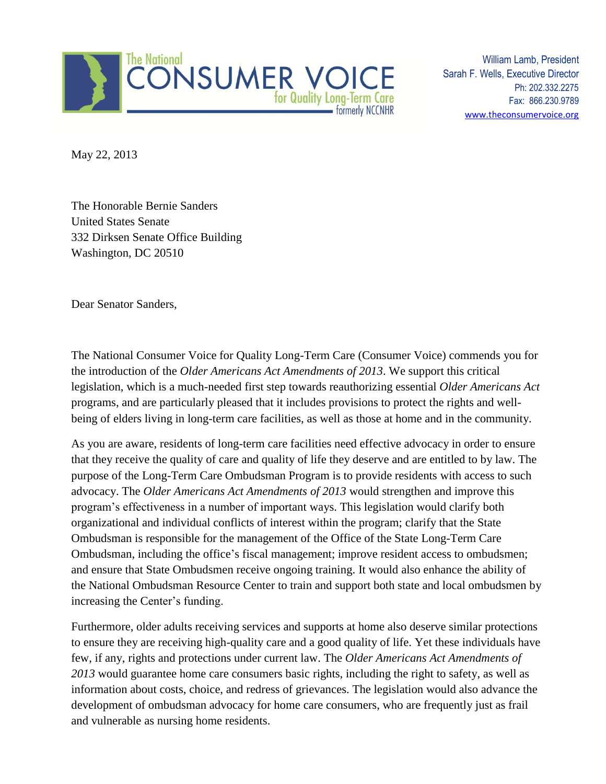

William Lamb, President Sarah F. Wells, Executive Director Ph: 202.332.2275 Fax: 866.230.9789 [www.theconsumervoice.org](http://www.theconsumervoice.org/)

May 22, 2013

The Honorable Bernie Sanders United States Senate 332 Dirksen Senate Office Building Washington, DC 20510

Dear Senator Sanders,

The National Consumer Voice for Quality Long-Term Care (Consumer Voice) commends you for the introduction of the *Older Americans Act Amendments of 2013*. We support this critical legislation, which is a much-needed first step towards reauthorizing essential *Older Americans Act* programs, and are particularly pleased that it includes provisions to protect the rights and wellbeing of elders living in long-term care facilities, as well as those at home and in the community.

As you are aware, residents of long-term care facilities need effective advocacy in order to ensure that they receive the quality of care and quality of life they deserve and are entitled to by law. The purpose of the Long-Term Care Ombudsman Program is to provide residents with access to such advocacy. The *Older Americans Act Amendments of 2013* would strengthen and improve this program's effectiveness in a number of important ways. This legislation would clarify both organizational and individual conflicts of interest within the program; clarify that the State Ombudsman is responsible for the management of the Office of the State Long-Term Care Ombudsman, including the office's fiscal management; improve resident access to ombudsmen; and ensure that State Ombudsmen receive ongoing training. It would also enhance the ability of the National Ombudsman Resource Center to train and support both state and local ombudsmen by increasing the Center's funding.

Furthermore, older adults receiving services and supports at home also deserve similar protections to ensure they are receiving high-quality care and a good quality of life. Yet these individuals have few, if any, rights and protections under current law. The *Older Americans Act Amendments of 2013* would guarantee home care consumers basic rights, including the right to safety, as well as information about costs, choice, and redress of grievances. The legislation would also advance the development of ombudsman advocacy for home care consumers, who are frequently just as frail and vulnerable as nursing home residents.